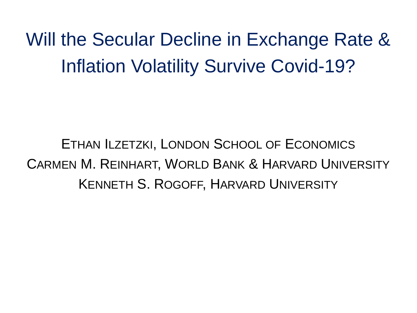Will the Secular Decline in Exchange Rate & Inflation Volatility Survive Covid-19?

ETHAN ILZETZKI, LONDON SCHOOL OF ECONOMICS CARMEN M. REINHART, WORLD BANK & HARVARD UNIVERSITY KENNETH S. ROGOFF, HARVARD UNIVERSITY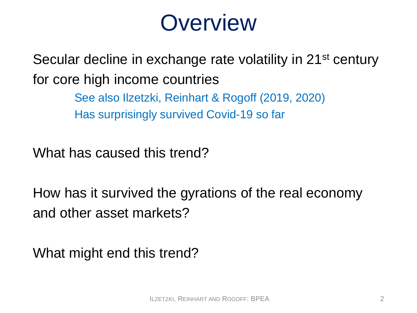#### **Overview**

Secular decline in exchange rate volatility in 21<sup>st</sup> century for core high income countries

> See also Ilzetzki, Reinhart & Rogoff (2019, 2020) Has surprisingly survived Covid-19 so far

What has caused this trend?

How has it survived the gyrations of the real economy and other asset markets?

What might end this trend?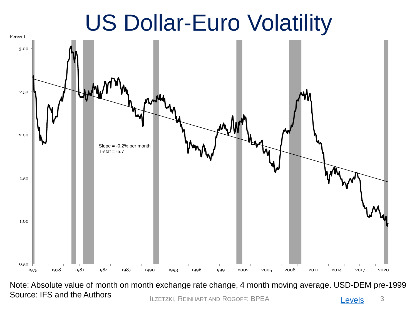## US Dollar-Euro Volatility



Source: IFS and the Authors **Example 20** ILZETZKI, REINHART AND ROGOFF: BPEA **3 [Levels](#page-24-0)** 3 Note: Absolute value of month on month exchange rate change, 4 month moving average. USD-DEM pre-1999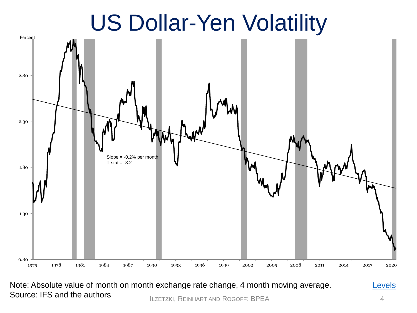## US Dollar-Yen Volatility

<span id="page-3-0"></span>

ILZETZKI, REINHART AND ROGOFF: BPEA 4 Note: Absolute value of month on month exchange rate change, 4 month moving average. Source: IFS and the authors

[Levels](#page-24-0)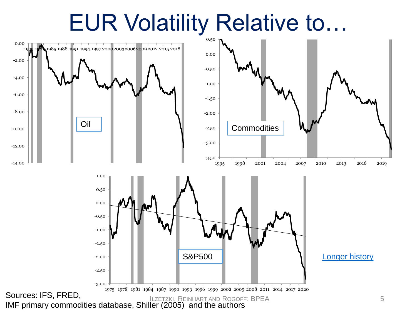## EUR Volatility Relative to…

<span id="page-4-0"></span>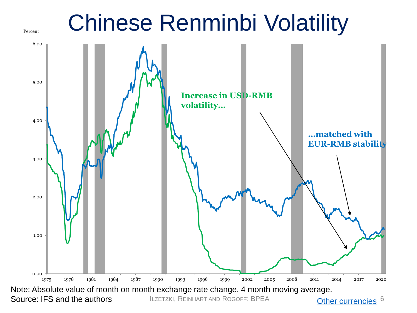<span id="page-5-0"></span>

ILZETZKI, REINHART AND ROGOFF: BPEA

[Other currencies](#page-26-0) <sup>6</sup>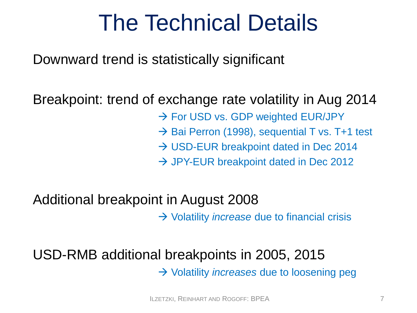## The Technical Details

Downward trend is statistically significant

#### Breakpoint: trend of exchange rate volatility in Aug 2014

 $\rightarrow$  For USD vs. GDP weighted EUR/JPY

 $\rightarrow$  Bai Perron (1998), sequential T vs. T+1 test

 $\rightarrow$  USD-EUR breakpoint dated in Dec 2014

 $\rightarrow$  JPY-EUR breakpoint dated in Dec 2012

#### Additional breakpoint in August 2008

→ Volatility *increase* due to financial crisis

#### USD-RMB additional breakpoints in 2005, 2015 → Volatility *increases* due to loosening peg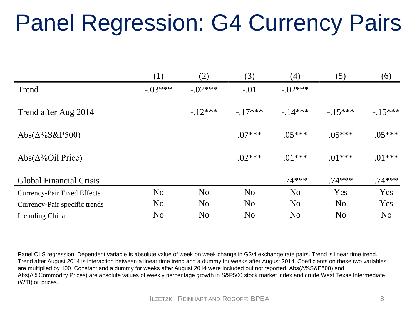## Panel Regression: G4 Currency Pairs

|                                    | (1)            | (2)            | (3)            | (4)            | (5)            | (6)            |
|------------------------------------|----------------|----------------|----------------|----------------|----------------|----------------|
| Trend                              | $-.03***$      | $-.02***$      | $-.01$         | $-.02***$      |                |                |
| Trend after Aug 2014               |                | $-12***$       | $-17***$       | $-14***$       | $-15***$       | $-15***$       |
| Abs( $\Delta\%$ S&P500)            |                |                | $.07***$       | $.05***$       | $.05***$       | $.05***$       |
| Abs( $\Delta\%$ Oil Price)         |                |                | $.02***$       | $.01***$       | $.01***$       | $.01***$       |
| <b>Global Financial Crisis</b>     |                |                |                | $.74***$       | $.74***$       | $.74***$       |
| <b>Currency-Pair Fixed Effects</b> | N <sub>o</sub> | N <sub>o</sub> | N <sub>o</sub> | N <sub>o</sub> | Yes            | Yes            |
| Currency-Pair specific trends      | N <sub>o</sub> | N <sub>o</sub> | N <sub>o</sub> | N <sub>o</sub> | N <sub>o</sub> | Yes            |
| <b>Including China</b>             | No             | N <sub>o</sub> | N <sub>o</sub> | N <sub>o</sub> | N <sub>o</sub> | N <sub>o</sub> |

Panel OLS regression. Dependent variable is absolute value of week on week change in G3/4 exchange rate pairs. Trend is linear time trend. Trend after August 2014 is interaction between a linear time trend and a dummy for weeks after August 2014. Coefficients on these two variables are multiplied by 100. Constant and a dummy for weeks after August 2014 were included but not reported. Abs(Δ%S&P500) and Abs(Δ%Commodity Prices) are absolute values of weekly percentage growth in S&P500 stock market index and crude West Texas Intermediate (WTI) oil prices.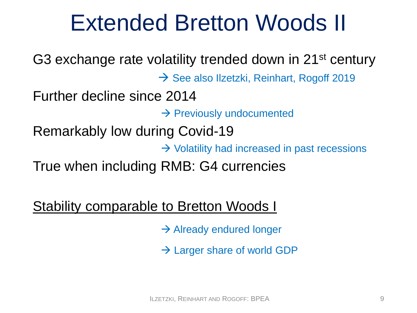## Extended Bretton Woods II

<span id="page-8-0"></span>G3 exchange rate volatility trended down in 21st century  $\rightarrow$  See also Ilzetzki, Reinhart, Rogoff 2019 Further decline since 2014  $\rightarrow$  Previously undocumented Remarkably low during Covid-19  $\rightarrow$  Volatility had increased in past recessions True when including RMB: G4 currencies

[Stability comparable to Bretton Woods I](#page-27-0)

 $\rightarrow$  Already endured longer

 $\rightarrow$  Larger share of world GDP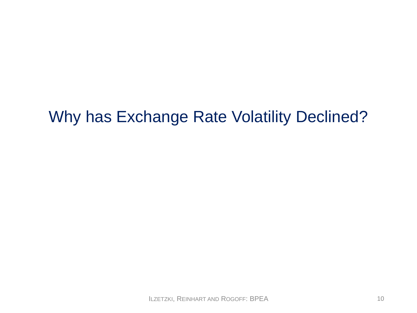#### Why has Exchange Rate Volatility Declined?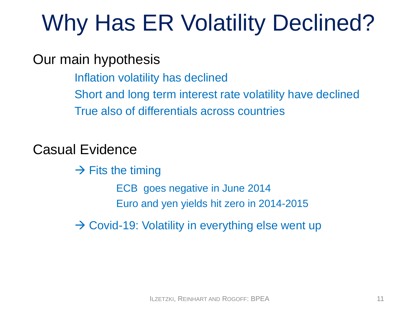# Why Has ER Volatility Declined?

Our main hypothesis

Inflation volatility has declined Short and long term interest rate volatility have declined True also of differentials across countries

Casual Evidence

 $\rightarrow$  Fits the timing ECB goes negative in June 2014 Euro and yen yields hit zero in 2014-2015

 $\rightarrow$  Covid-19: Volatility in everything else went up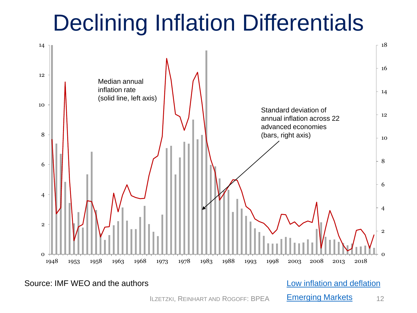## Declining Inflation Differentials

<span id="page-11-0"></span>

Source: IMF WEO and the authors **Low inflation** and deflation

[Emerging Markets](#page-29-0)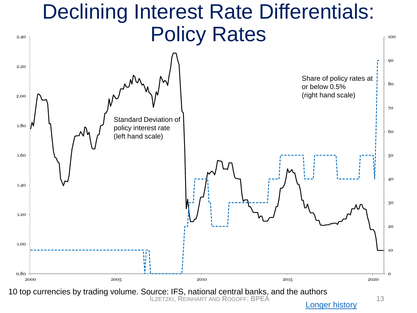#### Declining Interest Rate Differentials: Policy Rates

<span id="page-12-0"></span>2.40



[Longer history](#page-31-0)

100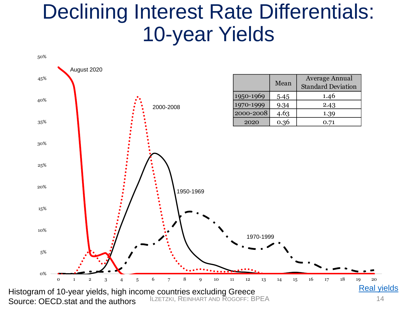#### <span id="page-13-0"></span>Declining Interest Rate Differentials: 10-year Yields

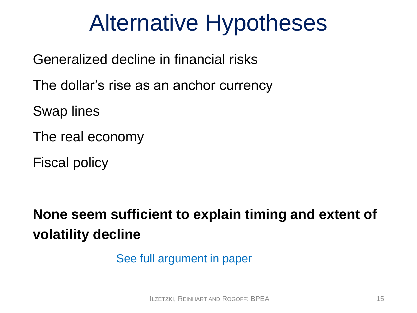## Alternative Hypotheses

Generalized decline in financial risks

The dollar's rise as an anchor currency

Swap lines

The real economy

Fiscal policy

**None seem sufficient to explain timing and extent of volatility decline**

See full argument in paper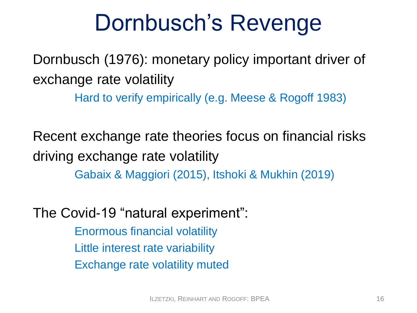## Dornbusch's Revenge

Dornbusch (1976): monetary policy important driver of exchange rate volatility

Hard to verify empirically (e.g. Meese & Rogoff 1983)

Recent exchange rate theories focus on financial risks driving exchange rate volatility

Gabaix & Maggiori (2015), Itshoki & Mukhin (2019)

The Covid-19 "natural experiment":

Enormous financial volatility Little interest rate variability Exchange rate volatility muted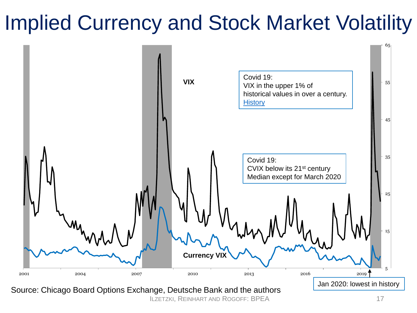#### <span id="page-16-0"></span>Implied Currency and Stock Market Volatility



ILZETZKI, REINHART AND ROGOFF: BPEA 17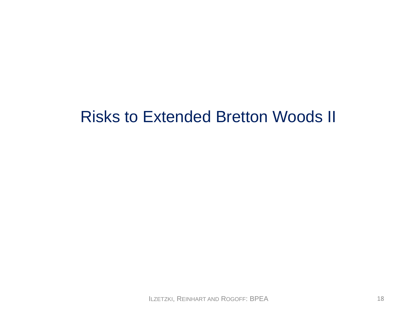#### Risks to Extended Bretton Woods II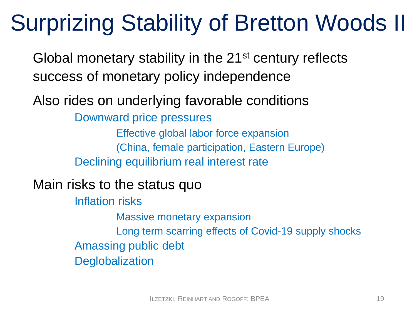## Surprizing Stability of Bretton Woods II

Global monetary stability in the 21<sup>st</sup> century reflects success of monetary policy independence

Also rides on underlying favorable conditions

Downward price pressures

Effective global labor force expansion (China, female participation, Eastern Europe) Declining equilibrium real interest rate

Main risks to the status quo

Inflation risks

Massive monetary expansion

Long term scarring effects of Covid-19 supply shocks Amassing public debt **Deglobalization**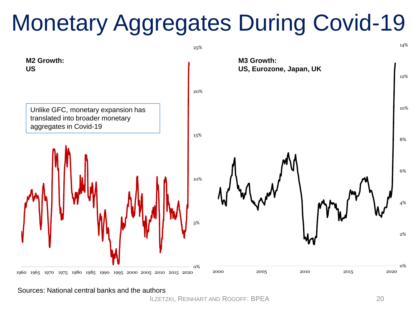# Monetary Aggregates During Covid-19



Sources: National central banks and the authors

ILZETZKI, REINHART AND ROGOFF: BPEA 20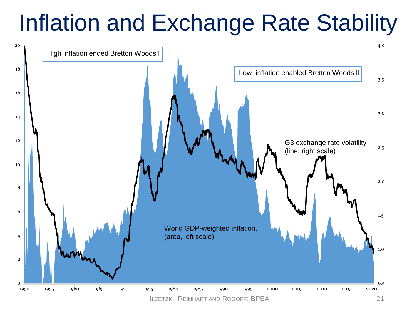## Inflation and Exchange Rate Stability

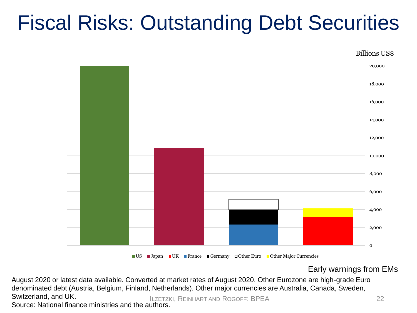#### Fiscal Risks: Outstanding Debt Securities

Billions US\$



■ US ■ Japan ■ UK ■ France ■ Germany □ Other Euro ■ Other Major Currencies

Early warnings from EMs

ILZETZKI, REINHART AND ROGOFF: BPEA 22 August 2020 or latest data available. Converted at market rates of August 2020. Other Eurozone are high-grade Euro denominated debt (Austria, Belgium, Finland, Netherlands). Other major currencies are Australia, Canada, Sweden, Switzerland, and UK.

Source: National finance ministries and the authors.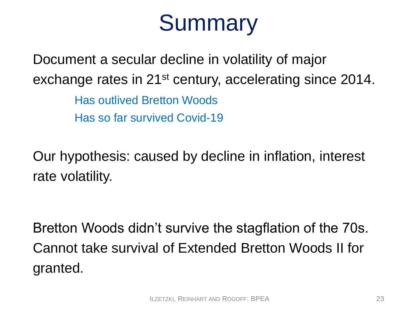## **Summary**

Document a secular decline in volatility of major exchange rates in 21<sup>st</sup> century, accelerating since 2014.

> Has outlived Bretton Woods Has so far survived Covid-19

Our hypothesis: caused by decline in inflation, interest rate volatility.

Bretton Woods didn't survive the stagflation of the 70s. Cannot take survival of Extended Bretton Woods II for granted.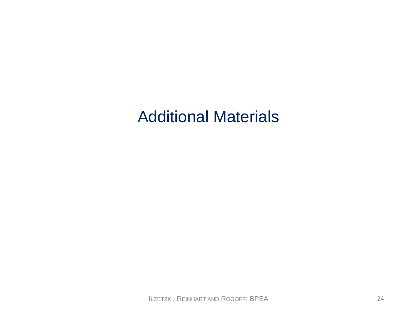#### Additional Materials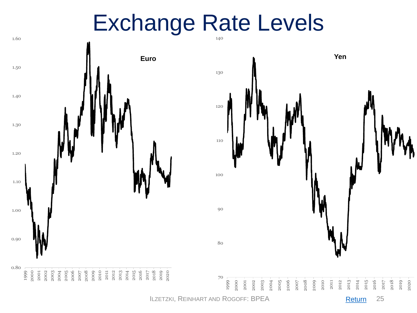#### Exchange Rate Levels

<span id="page-24-0"></span>

**ILZETZKI, REINHART AND ROGOFF: BPEA** 25

**[Return](#page-3-0)**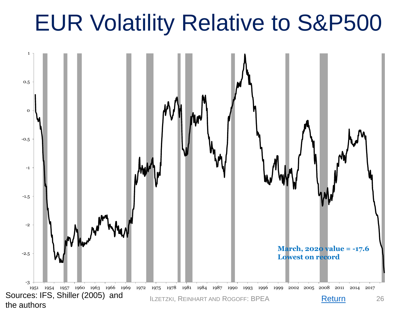## <span id="page-25-0"></span>EUR Volatility Relative to S&P500

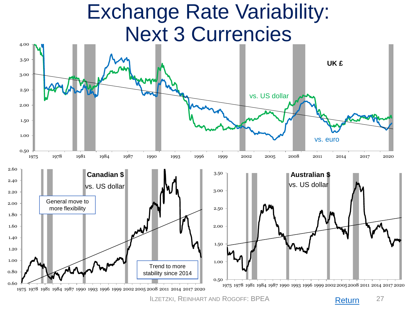#### Exchange Rate Variability: Next 3 Currencies

<span id="page-26-0"></span>

ILZETZKI, REINHART AND ROGOFF: BPEA 27

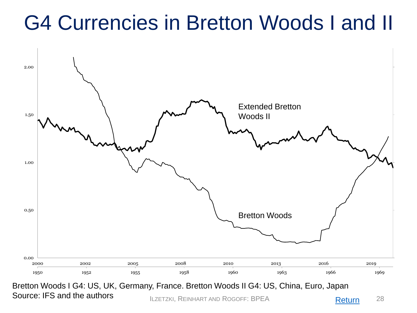#### <span id="page-27-0"></span>G4 Currencies in Bretton Woods I and II



Source: IFS and the authors **Example 28** ILZETZKI, REINHART AND ROGOFF: BPEA **1999 [Return](#page-8-0)** 28 Bretton Woods I G4: US, UK, Germany, France. Bretton Woods II G4: US, China, Euro, Japan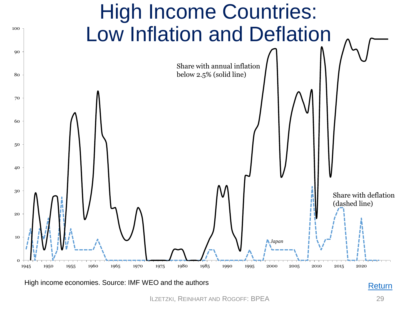<span id="page-28-0"></span>

High income economies. Source: IMF WEO and the authors **[Return](#page-11-0)** Return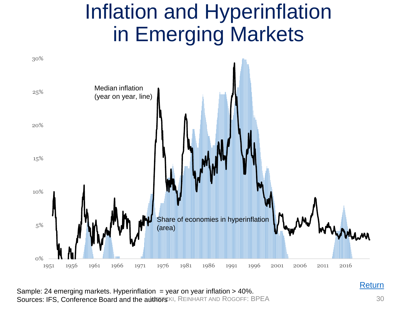#### Inflation and Hyperinflation in Emerging Markets

<span id="page-29-0"></span>

Sources: IFS, Conference Board and the authors KI, REINHART AND ROGOFF: BPEA 30 Sample: 24 emerging markets. Hyperinflation = year on year inflation > 40%.

**[Return](#page-11-0)**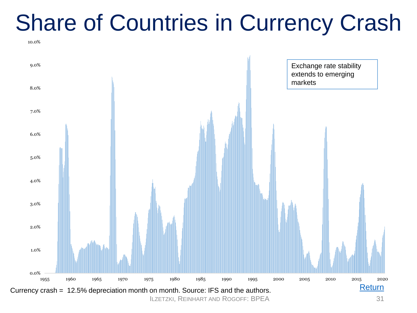## Share of Countries in Currency Crash

10.0%



ILZETZKI, REINHART AND ROGOFF: BPEA 31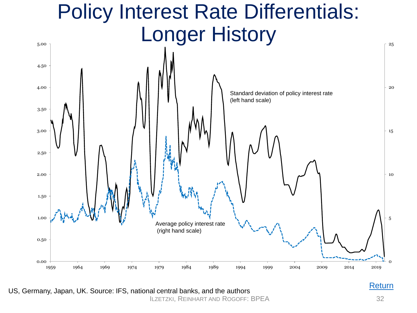#### Policy Interest Rate Differentials: Longer History

<span id="page-31-0"></span>

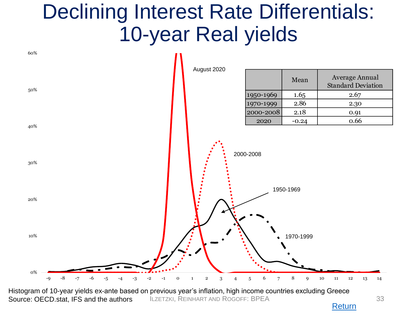#### <span id="page-32-0"></span>Declining Interest Rate Differentials: 10-year Real yields



[Return](#page-13-0)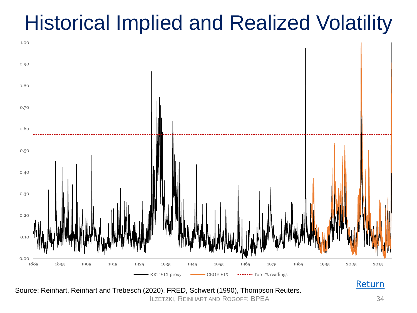#### <span id="page-33-0"></span>Historical Implied and Realized Volatility



Source: Reinhart, Reinhart and Trebesch (2020), FRED, Schwert (1990), Thompson Reuters.

ILZETZKI, REINHART AND ROGOFF: BPEA 34